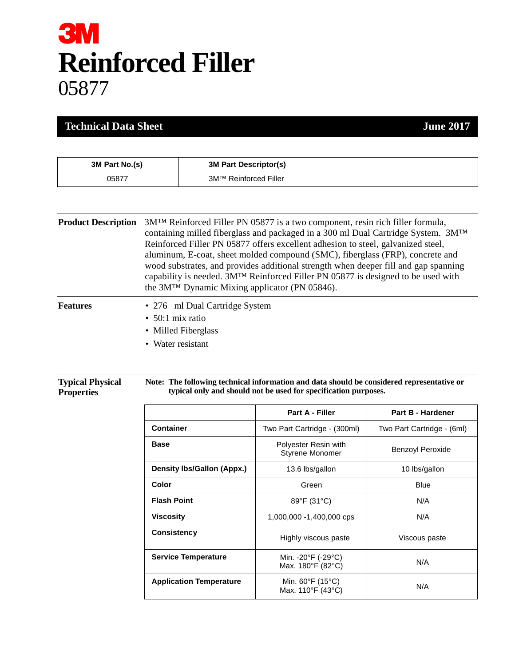# **3M Reinforced Filler** 05877

#### **Technical Data Sheet June 2017**

| 3M Part No.(s) | <b>3M Part Descriptor(s)</b> |
|----------------|------------------------------|
| 05877          | 3M™ Reinforced Filler        |

| <b>Product Description</b> 3M <sup>TM</sup> Reinforced Filler PN 05877 is a two component, resin rich filler formula,<br>containing milled fiberglass and packaged in a 300 ml Dual Cartridge System. $3M^{TM}$<br>Reinforced Filler PN 05877 offers excellent adhesion to steel, galvanized steel,<br>aluminum, E-coat, sheet molded compound (SMC), fiberglass (FRP), concrete and<br>wood substrates, and provides additional strength when deeper fill and gap spanning<br>capability is needed. $3MTM$ Reinforced Filler PN 05877 is designed to be used with<br>the 3M <sup>TM</sup> Dynamic Mixing applicator (PN 05846). |
|----------------------------------------------------------------------------------------------------------------------------------------------------------------------------------------------------------------------------------------------------------------------------------------------------------------------------------------------------------------------------------------------------------------------------------------------------------------------------------------------------------------------------------------------------------------------------------------------------------------------------------|
|                                                                                                                                                                                                                                                                                                                                                                                                                                                                                                                                                                                                                                  |

| Features | • 276 ml Dual Cartridge System |
|----------|--------------------------------|
|          | $\cdot$ 50:1 mix ratio         |
|          | • Milled Fiberglass            |
|          |                                |

• Water resistant

| <b>Typical Physical</b><br>Note: The following technical information and data should be considered representative or<br>typical only and should not be used for specification purposes.<br><b>Properties</b> |  |
|--------------------------------------------------------------------------------------------------------------------------------------------------------------------------------------------------------------|--|

|                                   | <b>Part A - Filler</b>                                     | Part B - Hardener          |
|-----------------------------------|------------------------------------------------------------|----------------------------|
| <b>Container</b>                  | Two Part Cartridge - (300ml)                               | Two Part Cartridge - (6ml) |
| <b>Base</b>                       | Polyester Resin with<br><b>Styrene Monomer</b>             | <b>Benzoyl Peroxide</b>    |
| <b>Density Ibs/Gallon (Appx.)</b> | 13.6 lbs/gallon                                            | 10 lbs/gallon              |
| Color                             | Green                                                      | <b>Blue</b>                |
| <b>Flash Point</b>                | 89°F (31°C)                                                | N/A                        |
| <b>Viscosity</b>                  | 1,000,000 -1,400,000 cps                                   | N/A                        |
| Consistency                       | Highly viscous paste                                       | Viscous paste              |
| <b>Service Temperature</b>        | Min. - 20°F (-29°C)<br>Max. 180°F (82°C)                   | N/A                        |
| <b>Application Temperature</b>    | Min. $60^{\circ}$ F (15 $^{\circ}$ C)<br>Max. 110°F (43°C) | N/A                        |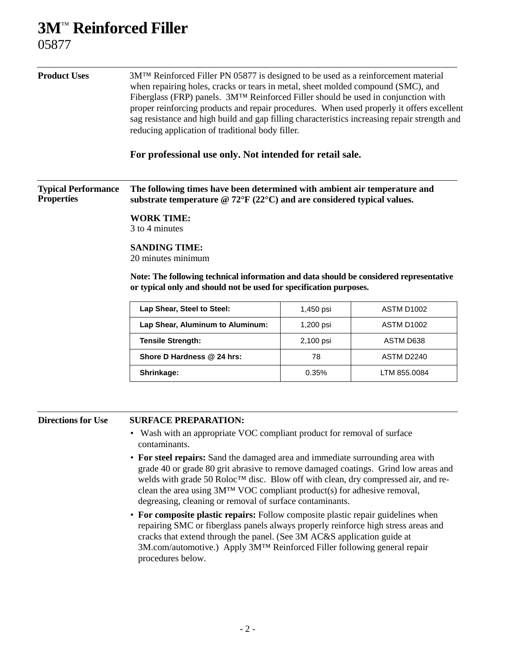## **3M**™ **Reinforced Filler**

05877

| <b>Product Uses</b>                             | 3M <sup>TM</sup> Reinforced Filler PN 05877 is designed to be used as a reinforcement material<br>when repairing holes, cracks or tears in metal, sheet molded compound (SMC), and<br>Fiberglass (FRP) panels. 3M <sup>TM</sup> Reinforced Filler should be used in conjunction with<br>proper reinforcing products and repair procedures. When used properly it offers excellent<br>sag resistance and high build and gap filling characteristics increasing repair strength and<br>reducing application of traditional body filler. |           |                   |
|-------------------------------------------------|---------------------------------------------------------------------------------------------------------------------------------------------------------------------------------------------------------------------------------------------------------------------------------------------------------------------------------------------------------------------------------------------------------------------------------------------------------------------------------------------------------------------------------------|-----------|-------------------|
|                                                 | For professional use only. Not intended for retail sale.                                                                                                                                                                                                                                                                                                                                                                                                                                                                              |           |                   |
| <b>Typical Performance</b><br><b>Properties</b> | The following times have been determined with ambient air temperature and<br>substrate temperature $@ 72^{\circ}F (22^{\circ}C)$ and are considered typical values.                                                                                                                                                                                                                                                                                                                                                                   |           |                   |
|                                                 | <b>WORK TIME:</b><br>3 to 4 minutes                                                                                                                                                                                                                                                                                                                                                                                                                                                                                                   |           |                   |
|                                                 | <b>SANDING TIME:</b><br>20 minutes minimum<br>Note: The following technical information and data should be considered representative<br>or typical only and should not be used for specification purposes.                                                                                                                                                                                                                                                                                                                            |           |                   |
|                                                 | Lap Shear, Steel to Steel:                                                                                                                                                                                                                                                                                                                                                                                                                                                                                                            | 1,450 psi | <b>ASTM D1002</b> |
|                                                 | Lap Shear, Aluminum to Aluminum:                                                                                                                                                                                                                                                                                                                                                                                                                                                                                                      | 1,200 psi | ASTM D1002        |
|                                                 | <b>Tensile Strength:</b>                                                                                                                                                                                                                                                                                                                                                                                                                                                                                                              | 2,100 psi | ASTM D638         |
|                                                 | Shore D Hardness @ 24 hrs:                                                                                                                                                                                                                                                                                                                                                                                                                                                                                                            | 78        | ASTM D2240        |
|                                                 | Shrinkage:                                                                                                                                                                                                                                                                                                                                                                                                                                                                                                                            | 0.35%     | LTM 855.0084      |
| <b>Directions for Use</b>                       | <b>SURFACE PREPARATION:</b><br>Wash with an appropriate VOC compliant product for removal of surface<br>contaminants.                                                                                                                                                                                                                                                                                                                                                                                                                 |           |                   |

- **For steel repairs:** Sand the damaged area and immediate surrounding area with grade 40 or grade 80 grit abrasive to remove damaged coatings. Grind low areas and welds with grade 50 Roloc™ disc. Blow off with clean, dry compressed air, and reclean the area using 3M™ VOC compliant product(s) for adhesive removal, degreasing, cleaning or removal of surface contaminants.
- **For composite plastic repairs:** Follow composite plastic repair guidelines when repairing SMC or fiberglass panels always properly reinforce high stress areas and cracks that extend through the panel. (See 3M AC&S application guide at 3M.com/automotive.) Apply 3M™ Reinforced Filler following general repair procedures below.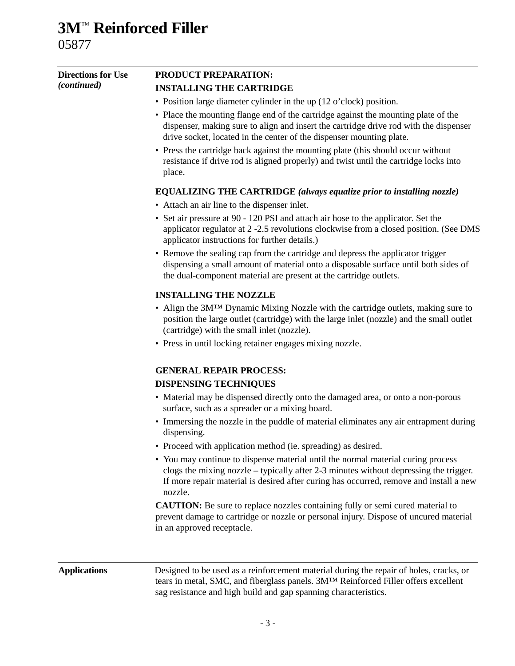### **3M**™ **Reinforced Filler** 05877

| <b>Directions for Use</b> | <b>PRODUCT PREPARATION:</b>                                                                                                                                                                                                                                                                                                                                                                                                                                               |  |  |                                |                                                                       |
|---------------------------|---------------------------------------------------------------------------------------------------------------------------------------------------------------------------------------------------------------------------------------------------------------------------------------------------------------------------------------------------------------------------------------------------------------------------------------------------------------------------|--|--|--------------------------------|-----------------------------------------------------------------------|
| <i>(continued)</i>        | <b>INSTALLING THE CARTRIDGE</b>                                                                                                                                                                                                                                                                                                                                                                                                                                           |  |  |                                |                                                                       |
|                           | • Position large diameter cylinder in the up (12 o'clock) position.                                                                                                                                                                                                                                                                                                                                                                                                       |  |  |                                |                                                                       |
|                           | • Place the mounting flange end of the cartridge against the mounting plate of the<br>dispenser, making sure to align and insert the cartridge drive rod with the dispenser<br>drive socket, located in the center of the dispenser mounting plate.<br>• Press the cartridge back against the mounting plate (this should occur without<br>resistance if drive rod is aligned properly) and twist until the cartridge locks into<br>place.                                |  |  |                                |                                                                       |
|                           |                                                                                                                                                                                                                                                                                                                                                                                                                                                                           |  |  |                                | EQUALIZING THE CARTRIDGE (always equalize prior to installing nozzle) |
|                           | • Attach an air line to the dispenser inlet.                                                                                                                                                                                                                                                                                                                                                                                                                              |  |  |                                |                                                                       |
|                           | • Set air pressure at 90 - 120 PSI and attach air hose to the applicator. Set the<br>applicator regulator at 2 -2.5 revolutions clockwise from a closed position. (See DMS<br>applicator instructions for further details.)<br>• Remove the sealing cap from the cartridge and depress the applicator trigger<br>dispensing a small amount of material onto a disposable surface until both sides of<br>the dual-component material are present at the cartridge outlets. |  |  |                                |                                                                       |
|                           |                                                                                                                                                                                                                                                                                                                                                                                                                                                                           |  |  | <b>INSTALLING THE NOZZLE</b>   |                                                                       |
|                           | • Align the 3M <sup>TM</sup> Dynamic Mixing Nozzle with the cartridge outlets, making sure to<br>position the large outlet (cartridge) with the large inlet (nozzle) and the small outlet<br>(cartridge) with the small inlet (nozzle).<br>• Press in until locking retainer engages mixing nozzle.                                                                                                                                                                       |  |  |                                |                                                                       |
|                           |                                                                                                                                                                                                                                                                                                                                                                                                                                                                           |  |  | <b>GENERAL REPAIR PROCESS:</b> |                                                                       |
|                           | <b>DISPENSING TECHNIQUES</b>                                                                                                                                                                                                                                                                                                                                                                                                                                              |  |  |                                |                                                                       |
|                           | • Material may be dispensed directly onto the damaged area, or onto a non-porous<br>surface, such as a spreader or a mixing board.                                                                                                                                                                                                                                                                                                                                        |  |  |                                |                                                                       |
|                           | • Immersing the nozzle in the puddle of material eliminates any air entrapment during<br>dispensing.                                                                                                                                                                                                                                                                                                                                                                      |  |  |                                |                                                                       |
|                           | Proceed with application method (ie. spreading) as desired.                                                                                                                                                                                                                                                                                                                                                                                                               |  |  |                                |                                                                       |
|                           | • You may continue to dispense material until the normal material curing process<br>clogs the mixing nozzle – typically after 2-3 minutes without depressing the trigger.<br>If more repair material is desired after curing has occurred, remove and install a new<br>nozzle.                                                                                                                                                                                            |  |  |                                |                                                                       |
|                           | <b>CAUTION:</b> Be sure to replace nozzles containing fully or semi cured material to<br>prevent damage to cartridge or nozzle or personal injury. Dispose of uncured material<br>in an approved receptacle.                                                                                                                                                                                                                                                              |  |  |                                |                                                                       |
| <b>Applications</b>       | Designed to be used as a reinforcement material during the repair of holes, cracks, or<br>tears in metal, SMC, and fiberglass panels. 3MTM Reinforced Filler offers excellent                                                                                                                                                                                                                                                                                             |  |  |                                |                                                                       |

- 3 -

sag resistance and high build and gap spanning characteristics.